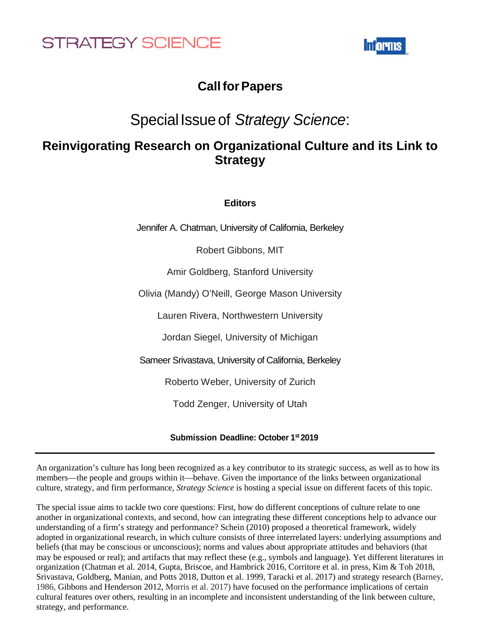



## **CallforPapers**

## SpecialIssueof *Strategy Science*:

## **Reinvigorating Research on Organizational Culture and its Link to Strategy**

**Editors**

Jennifer A. Chatman, University of California, Berkeley

Robert Gibbons, MIT

Amir Goldberg, Stanford University

Olivia (Mandy) O'Neill, George Mason University

Lauren Rivera, Northwestern University

Jordan Siegel, University of Michigan

Sameer Srivastava, University of California, Berkeley

Roberto Weber, University of Zurich

Todd Zenger, University of Utah

## **Submission Deadline: October 1st 2019**

An organization's culture has long been recognized as a key contributor to its strategic success, as well as to how its members—the people and groups within it—behave. Given the importance of the links between organizational culture, strategy, and firm performance, *Strategy Science* is hosting a special issue on different facets of this topic.

The special issue aims to tackle two core questions: First, how do different conceptions of culture relate to one another in organizational contexts, and second, how can integrating these different conceptions help to advance our understanding of a firm's strategy and performance? Schein (2010) proposed a theoretical framework, widely adopted in organizational research, in which culture consists of three interrelated layers: underlying assumptions and beliefs (that may be conscious or unconscious); norms and values about appropriate attitudes and behaviors (that may be espoused or real); and artifacts that may reflect these (e.g., symbols and language). Yet different literatures in organization (Chatman et al. 2014, Gupta, Briscoe, and Hambrick 2016, Corritore et al. in press, Kim & Toh 2018, Srivastava, Goldberg, Manian, and Potts 2018, Dutton et al. 1999, Taracki et al. 2017) and strategy research (Barney, 1986, Gibbons and Henderson 2012, Morris et al. 2017) have focused on the performance implications of certain cultural features over others, resulting in an incomplete and inconsistent understanding of the link between culture, strategy, and performance.